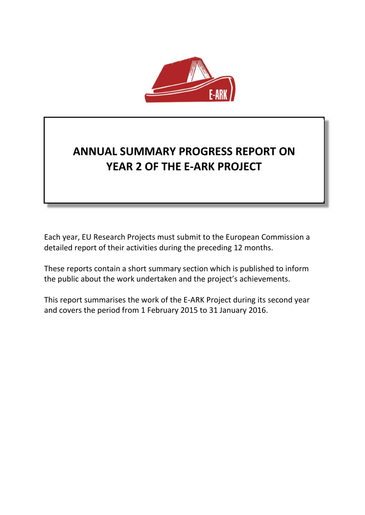

# **ANNUAL SUMMARY PROGRESS REPORT ON YEAR 2 OF THE E-ARK PROJECT**

Each year, EU Research Projects must submit to the European Commission a detailed report of their activities during the preceding 12 months.

These reports contain a short summary section which is published to inform the public about the work undertaken and the project's achievements.

This report summarises the work of the E-ARK Project during its second year and covers the period from 1 February 2015 to 31 January 2016.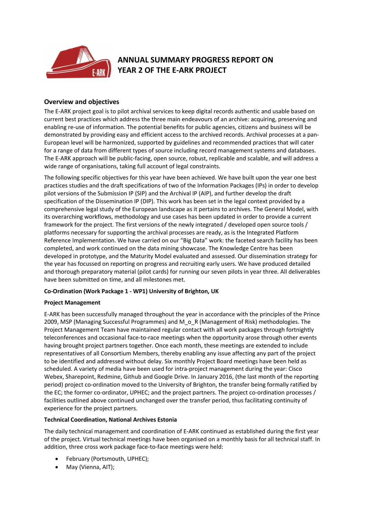

# **ANNUAL SUMMARY PROGRESS REPORT ON YEAR 2 OF THE E-ARK PROJECT**

# **Overview and objectives**

The E-ARK project goal is to pilot archival services to keep digital records authentic and usable based on current best practices which address the three main endeavours of an archive: acquiring, preserving and enabling re-use of information. The potential benefits for public agencies, citizens and business will be demonstrated by providing easy and efficient access to the archived records. Archival processes at a pan-European level will be harmonized, supported by guidelines and recommended practices that will cater for a range of data from different types of source including record management systems and databases. The E-ARK approach will be public-facing, open source, robust, replicable and scalable, and will address a wide range of organisations, taking full account of legal constraints.

The following specific objectives for this year have been achieved. We have built upon the year one best practices studies and the draft specifications of two of the Information Packages (IPs) in order to develop pilot versions of the Submission IP (SIP) and the Archival IP (AIP), and further develop the draft specification of the Dissemination IP (DIP). This work has been set in the legal context provided by a comprehensive legal study of the European landscape as it pertains to archives. The General Model, with its overarching workflows, methodology and use cases has been updated in order to provide a current framework for the project. The first versions of the newly integrated / developed open source tools / platforms necessary for supporting the archival processes are ready, as is the Integrated Platform Reference Implementation. We have carried on our "Big Data" work: the faceted search facility has been completed, and work continued on the data mining showcase. The Knowledge Centre has been developed in prototype, and the Maturity Model evaluated and assessed. Our dissemination strategy for the year has focussed on reporting on progress and recruiting early users. We have produced detailed and thorough preparatory material (pilot cards) for running our seven pilots in year three. All deliverables have been submitted on time, and all milestones met.

#### **Co-Ordination (Work Package 1 - WP1) University of Brighton, UK**

#### **Project Management**

E-ARK has been successfully managed throughout the year in accordance with the principles of the Prince 2009, MSP (Managing Successful Programmes) and M\_o\_R (Management of Risk) methodologies. The Project Management Team have maintained regular contact with all work packages through fortnightly teleconferences and occasional face-to-race meetings when the opportunity arose through other events having brought project partners together. Once each month, these meetings are extended to include representatives of all Consortium Members, thereby enabling any issue affecting any part of the project to be identified and addressed without delay. Six monthly Project Board meetings have been held as scheduled. A variety of media have been used for intra-project management during the year: Cisco Webex, Sharepoint, Redmine, Github and Google Drive. In January 2016, (the last month of the reporting period) project co-ordination moved to the University of Brighton, the transfer being formally ratified by the EC; the former co-ordinator, UPHEC; and the project partners. The project co-ordination processes / facilities outlined above continued unchanged over the transfer period, thus facilitating continuity of experience for the project partners.

#### **Technical Coordination, National Archives Estonia**

The daily technical management and coordination of E-ARK continued as established during the first year of the project. Virtual technical meetings have been organised on a monthly basis for all technical staff. In addition, three cross work package face-to-face meetings were held:

- February (Portsmouth, UPHEC);
- May (Vienna, AIT);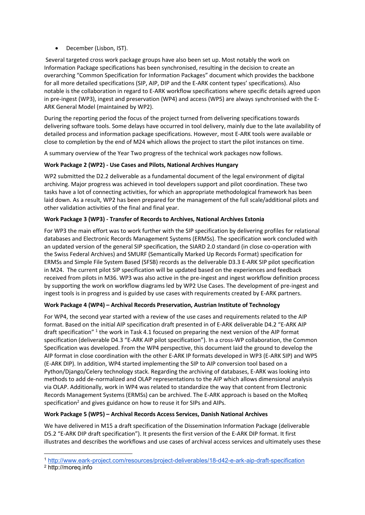• December (Lisbon, IST).

Several targeted cross work package groups have also been set up. Most notably the work on Information Package specifications has been synchronised, resulting in the decision to create an overarching "Common Specification for Information Packages" document which provides the backbone for all more detailed specifications (SIP, AIP, DIP and the E-ARK content types' specifications). Also notable is the collaboration in regard to E-ARK workflow specifications where specific details agreed upon in pre-ingest (WP3), ingest and preservation (WP4) and access (WP5) are always synchronised with the E-ARK General Model (maintained by WP2).

During the reporting period the focus of the project turned from delivering specifications towards delivering software tools. Some delays have occurred in tool delivery, mainly due to the late availability of detailed process and information package specifications. However, most E-ARK tools were available or close to completion by the end of M24 which allows the project to start the pilot instances on time.

A summary overview of the Year Two progress of the technical work packages now follows.

# **Work Package 2 (WP2) - Use Cases and Pilots, National Archives Hungary**

WP2 submitted the D2.2 deliverable as a fundamental document of the legal environment of digital archiving. Major progress was achieved in tool developers support and pilot coordination. These two tasks have a lot of connecting activities, for which an appropriate methodological framework has been laid down. As a result, WP2 has been prepared for the management of the full scale/additional pilots and other validation activities of the final and final year.

## **Work Package 3 (WP3) - Transfer of Records to Archives, National Archives Estonia**

For WP3 the main effort was to work further with the SIP specification by delivering profiles for relational databases and Electronic Records Management Systems (ERMSs). The specification work concluded with an updated version of the general SIP specification, the SIARD 2.0 standard (in close co-operation with the Swiss Federal Archives) and SMURF (Semantically Marked Up Records Format) specification for ERMSs and Simple File System Based (SFSB) records as the deliverable D3.3 E-ARK SIP pilot specification in M24. The current pilot SIP specification will be updated based on the experiences and feedback received from pilots in M36. WP3 was also active in the pre-ingest and ingest workflow definition process by supporting the work on workflow diagrams led by WP2 Use Cases. The development of pre-ingest and ingest tools is in progress and is guided by use cases with requirements created by E-ARK partners.

# **Work Package 4 (WP4) – Archival Records Preservation, Austrian Institute of Technology**

For WP4, the second year started with a review of the use cases and requirements related to the AIP format. Based on the initial AIP specification draft presented in of E-ARK deliverable D4.2 "E-ARK AIP draft specification" 1 the work in Task 4.1 focused on preparing the next version of the AIP format specification (deliverable D4.3 "E-ARK AIP pilot specification"). In a cross-WP collaboration, the Common Specification was developed. From the WP4 perspective, this document laid the ground to develop the AIP format in close coordination with the other E-ARK IP formats developed in WP3 (E-ARK SIP) and WP5 (E-ARK DIP). In addition, WP4 started implementing the SIP to AIP conversion tool based on a Python/Django/Celery technology stack. Regarding the archiving of databases, E-ARK was looking into methods to add de-normalized and OLAP representations to the AIP which allows dimensional analysis via OLAP. Additionally, work in WP4 was related to standardize the way that content from Electronic Records Management Systems (ERMSs) can be archived. The E-ARK approach is based on the MoReq specification<sup>2</sup> and gives guidance on how to reuse it for SIPs and AIPs.

#### **Work Package 5 (WP5) – Archival Records Access Services, Danish National Archives**

We have delivered in M15 a draft specification of the Dissemination Information Package (deliverable D5.2 "E-ARK DIP draft specification"). It presents the first version of the E-ARK DIP format. It first illustrates and describes the workflows and use cases of archival access services and ultimately uses these

 <sup>1</sup> http://www.eark-project.com/resources/project-deliverables/18-d42-e-ark-aip-draft-specification

<sup>2</sup> http://moreq.info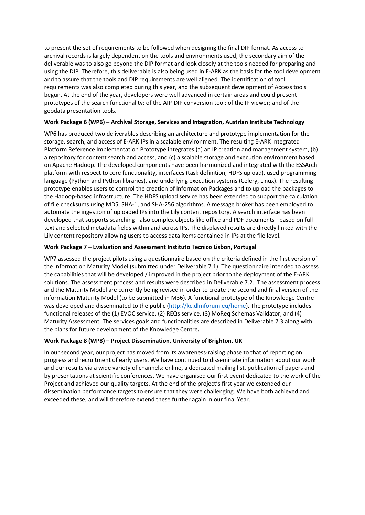to present the set of requirements to be followed when designing the final DIP format. As access to archival records is largely dependent on the tools and environments used, the secondary aim of the deliverable was to also go beyond the DIP format and look closely at the tools needed for preparing and using the DIP. Therefore, this deliverable is also being used in E-ARK as the basis for the tool development and to assure that the tools and DIP requirements are well aligned. The identification of tool requirements was also completed during this year, and the subsequent development of Access tools begun. At the end of the year, developers were well advanced in certain areas and could present prototypes of the search functionality; of the AIP-DIP conversion tool; of the IP viewer; and of the geodata presentation tools.

#### **Work Package 6 (WP6) – Archival Storage, Services and Integration, Austrian Institute Technology**

WP6 has produced two deliverables describing an architecture and prototype implementation for the storage, search, and access of E-ARK IPs in a scalable environment. The resulting E-ARK Integrated Platform Reference Implementation Prototype integrates (a) an IP creation and management system, (b) a repository for content search and access, and (c) a scalable storage and execution environment based on Apache Hadoop. The developed components have been harmonized and integrated with the ESSArch platform with respect to core functionality, interfaces (task definition, HDFS upload), used programming language (Python and Python libraries), and underlying execution systems (Celery, Linux). The resulting prototype enables users to control the creation of Information Packages and to upload the packages to the Hadoop-based infrastructure. The HDFS upload service has been extended to support the calculation of file checksums using MD5, SHA-1, and SHA-256 algorithms. A message broker has been employed to automate the ingestion of uploaded IPs into the Lily content repository. A search interface has been developed that supports searching - also complex objects like office and PDF documents - based on fulltext and selected metadata fields within and across IPs. The displayed results are directly linked with the Lily content repository allowing users to access data items contained in IPs at the file level.

## **Work Package 7 – Evaluation and Assessment Instituto Tecnico Lisbon, Portugal**

WP7 assessed the project pilots using a questionnaire based on the criteria defined in the first version of the Information Maturity Model (submitted under Deliverable 7.1). The questionnaire intended to assess the capabilities that will be developed / improved in the project prior to the deployment of the E-ARK solutions. The assessment process and results were described in Deliverable 7.2. The assessment process and the Maturity Model are currently being revised in order to create the second and final version of the information Maturity Model (to be submitted in M36). A functional prototype of the Knowledge Centre was developed and disseminated to the public (http://kc.dlmforum.eu/home). The prototype includes functional releases of the (1) EVOC service, (2) REQs service, (3) MoReq Schemas Validator, and (4) Maturity Assessment. The services goals and functionalities are described in Deliverable 7.3 along with the plans for future development of the Knowledge Centre**.**

# **Work Package 8 (WP8) – Project Dissemination, University of Brighton, UK**

In our second year, our project has moved from its awareness-raising phase to that of reporting on progress and recruitment of early users. We have continued to disseminate information about our work and our results via a wide variety of channels: online, a dedicated mailing list, publication of papers and by presentations at scientific conferences. We have organised our first event dedicated to the work of the Project and achieved our quality targets. At the end of the project's first year we extended our dissemination performance targets to ensure that they were challenging. We have both achieved and exceeded these, and will therefore extend these further again in our final Year.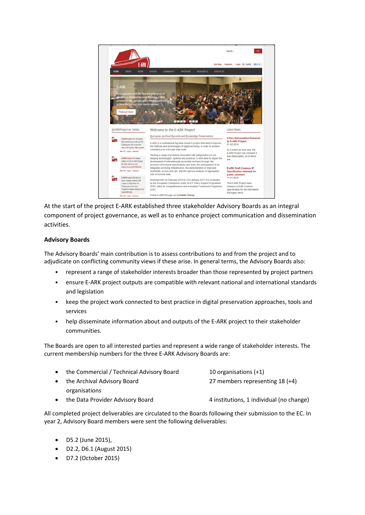

At the start of the project E-ARK established three stakeholder Advisory Boards as an integral component of project governance, as well as to enhance project communication and dissemination activities.

## **Advisory Boards**

The Advisory Boards' main contribution is to assess contributions to and from the project and to adjudicate on conflicting community views if these arise. In general terms, the Advisory Boards also:

- represent a range of stakeholder interests broader than those represented by project partners
- ensure E-ARK project outputs are compatible with relevant national and international standards and legislation
- keep the project work connected to best practice in digital preservation approaches, tools and services
- help disseminate information about and outputs of the E-ARK project to their stakeholder communities.

The Boards are open to all interested parties and represent a wide range of stakeholder interests. The current membership numbers for the three E-ARK Advisory Boards are:

| $\bullet$ | the Commercial / Technical Advisory Board | 10 organisations $(+1)$                  |
|-----------|-------------------------------------------|------------------------------------------|
| $\bullet$ | the Archival Advisory Board               | 27 members representing $18 (+4)$        |
|           | organisations                             |                                          |
| $\bullet$ | the Data Provider Advisory Board          | 4 institutions, 1 individual (no change) |

All completed project deliverables are circulated to the Boards following their submission to the EC. In year 2, Advisory Board members were sent the following deliverables:

- D5.2 (June 2015),
- D2.2, D6.1 (August 2015)
- D7.2 (October 2015)